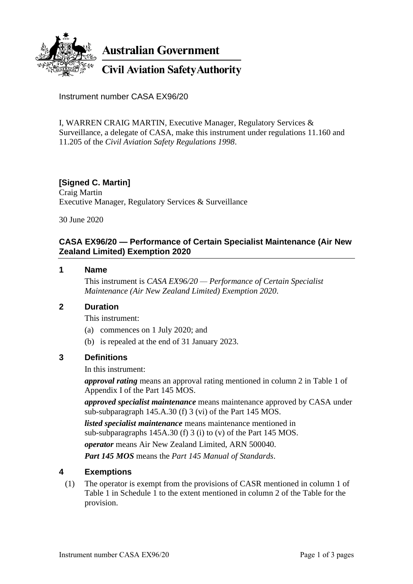

**Australian Government** 

**Civil Aviation Safety Authority** 

Instrument number CASA EX96/20

I, WARREN CRAIG MARTIN, Executive Manager, Regulatory Services & Surveillance, a delegate of CASA, make this instrument under regulations 11.160 and 11.205 of the *Civil Aviation Safety Regulations 1998*.

# **[Signed C. Martin]**

Craig Martin Executive Manager, Regulatory Services & Surveillance

30 June 2020

### **CASA EX96/20 — Performance of Certain Specialist Maintenance (Air New Zealand Limited) Exemption 2020**

#### **1 Name**

This instrument is *CASA EX96/20 — Performance of Certain Specialist Maintenance (Air New Zealand Limited) Exemption 2020*.

#### **2 Duration**

This instrument:

- (a) commences on 1 July 2020; and
- (b) is repealed at the end of 31 January 2023.

# **3 Definitions**

In this instrument:

*approval rating* means an approval rating mentioned in column 2 in Table 1 of Appendix I of the Part 145 MOS.

*approved specialist maintenance* means maintenance approved by CASA under sub-subparagraph 145.A.30 (f) 3 (vi) of the Part 145 MOS.

*listed specialist maintenance* means maintenance mentioned in sub-subparagraphs 145A.30 (f) 3 (i) to (v) of the Part 145 MOS.

*operator* means Air New Zealand Limited, ARN 500040.

*Part 145 MOS* means the *Part 145 Manual of Standards*.

# **4 Exemptions**

(1) The operator is exempt from the provisions of CASR mentioned in column 1 of Table 1 in Schedule 1 to the extent mentioned in column 2 of the Table for the provision.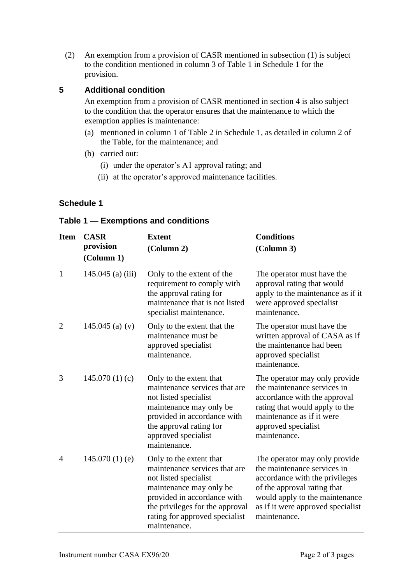(2) An exemption from a provision of CASR mentioned in subsection (1) is subject to the condition mentioned in column 3 of Table 1 in Schedule 1 for the provision.

### **5 Additional condition**

An exemption from a provision of CASR mentioned in section 4 is also subject to the condition that the operator ensures that the maintenance to which the exemption applies is maintenance:

- (a) mentioned in column 1 of Table 2 in Schedule 1, as detailed in column 2 of the Table, for the maintenance; and
- (b) carried out:
	- (i) under the operator's A1 approval rating; and
	- (ii) at the operator's approved maintenance facilities.

### **Schedule 1**

#### **Table 1 — Exemptions and conditions**

| <b>Item</b>    | <b>CASR</b><br>provision<br>(Column 1) | <b>Extent</b><br>(Column 2)                                                                                                                                                                                                      | <b>Conditions</b><br>(Column 3)                                                                                                                                                                                      |  |
|----------------|----------------------------------------|----------------------------------------------------------------------------------------------------------------------------------------------------------------------------------------------------------------------------------|----------------------------------------------------------------------------------------------------------------------------------------------------------------------------------------------------------------------|--|
| $\mathbf{1}$   | $145.045$ (a) (iii)                    | Only to the extent of the<br>requirement to comply with<br>the approval rating for<br>maintenance that is not listed<br>specialist maintenance.                                                                                  | The operator must have the<br>approval rating that would<br>apply to the maintenance as if it<br>were approved specialist<br>maintenance.                                                                            |  |
| $\overline{2}$ | 145.045 (a) $(v)$                      | Only to the extent that the<br>The operator must have the<br>written approval of CASA as if<br>maintenance must be<br>the maintenance had been<br>approved specialist<br>maintenance.<br>approved specialist<br>maintenance.     |                                                                                                                                                                                                                      |  |
| 3              | 145.070(1)(c)                          | Only to the extent that<br>maintenance services that are<br>not listed specialist<br>maintenance may only be<br>provided in accordance with<br>the approval rating for<br>approved specialist<br>maintenance.                    | The operator may only provide<br>the maintenance services in<br>accordance with the approval<br>rating that would apply to the<br>maintenance as if it were<br>approved specialist<br>maintenance.                   |  |
| $\overline{4}$ | $145.070(1)$ (e)                       | Only to the extent that<br>maintenance services that are<br>not listed specialist<br>maintenance may only be<br>provided in accordance with<br>the privileges for the approval<br>rating for approved specialist<br>maintenance. | The operator may only provide<br>the maintenance services in<br>accordance with the privileges<br>of the approval rating that<br>would apply to the maintenance<br>as if it were approved specialist<br>maintenance. |  |